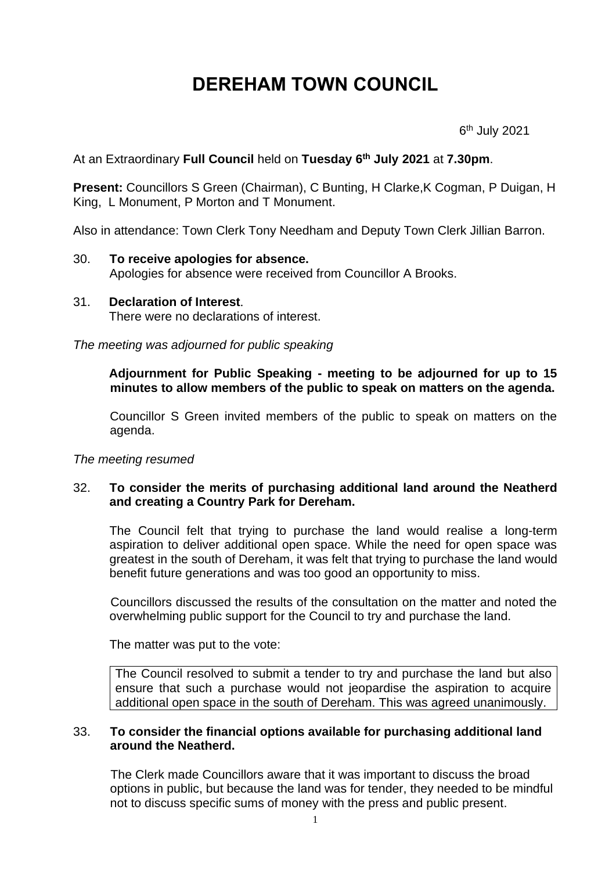# **DEREHAM TOWN COUNCIL**

6 th July 2021

At an Extraordinary **Full Council** held on **Tuesday 6 th July 2021** at **7.30pm**.

**Present:** Councillors S Green (Chairman), C Bunting, H Clarke,K Cogman, P Duigan, H King, L Monument, P Morton and T Monument.

Also in attendance: Town Clerk Tony Needham and Deputy Town Clerk Jillian Barron.

#### 30. **To receive apologies for absence.** Apologies for absence were received from Councillor A Brooks.

31. **Declaration of Interest**. There were no declarations of interest.

*The meeting was adjourned for public speaking*

**Adjournment for Public Speaking - meeting to be adjourned for up to 15 minutes to allow members of the public to speak on matters on the agenda.**

Councillor S Green invited members of the public to speak on matters on the agenda.

*The meeting resumed*

## 32. **To consider the merits of purchasing additional land around the Neatherd and creating a Country Park for Dereham.**

The Council felt that trying to purchase the land would realise a long-term aspiration to deliver additional open space. While the need for open space was greatest in the south of Dereham, it was felt that trying to purchase the land would benefit future generations and was too good an opportunity to miss.

Councillors discussed the results of the consultation on the matter and noted the overwhelming public support for the Council to try and purchase the land.

The matter was put to the vote:

The Council resolved to submit a tender to try and purchase the land but also ensure that such a purchase would not jeopardise the aspiration to acquire additional open space in the south of Dereham. This was agreed unanimously.

#### 33. **To consider the financial options available for purchasing additional land around the Neatherd.**

The Clerk made Councillors aware that it was important to discuss the broad options in public, but because the land was for tender, they needed to be mindful not to discuss specific sums of money with the press and public present.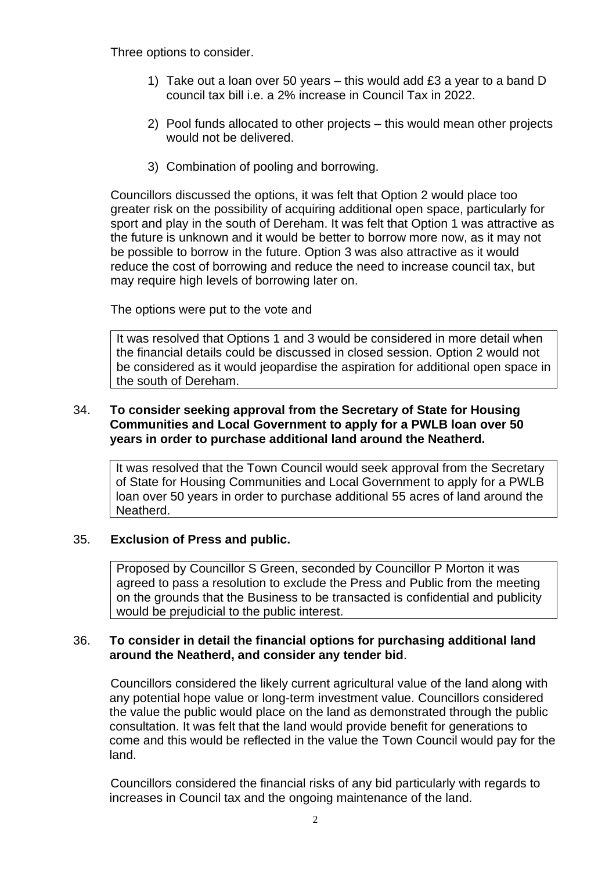Three options to consider.

- 1) Take out a loan over 50 years this would add £3 a year to a band D council tax bill i.e. a 2% increase in Council Tax in 2022.
- 2) Pool funds allocated to other projects this would mean other projects would not be delivered.
- 3) Combination of pooling and borrowing.

Councillors discussed the options, it was felt that Option 2 would place too greater risk on the possibility of acquiring additional open space, particularly for sport and play in the south of Dereham. It was felt that Option 1 was attractive as the future is unknown and it would be better to borrow more now, as it may not be possible to borrow in the future. Option 3 was also attractive as it would reduce the cost of borrowing and reduce the need to increase council tax, but may require high levels of borrowing later on.

The options were put to the vote and

It was resolved that Options 1 and 3 would be considered in more detail when the financial details could be discussed in closed session. Option 2 would not be considered as it would jeopardise the aspiration for additional open space in the south of Dereham.

### 34. **To consider seeking approval from the Secretary of State for Housing Communities and Local Government to apply for a PWLB loan over 50 years in order to purchase additional land around the Neatherd.**

It was resolved that the Town Council would seek approval from the Secretary of State for Housing Communities and Local Government to apply for a PWLB loan over 50 years in order to purchase additional 55 acres of land around the Neatherd.

### 35. **Exclusion of Press and public.**

Proposed by Councillor S Green, seconded by Councillor P Morton it was agreed to pass a resolution to exclude the Press and Public from the meeting on the grounds that the Business to be transacted is confidential and publicity would be prejudicial to the public interest.

### 36. **To consider in detail the financial options for purchasing additional land around the Neatherd, and consider any tender bid**.

Councillors considered the likely current agricultural value of the land along with any potential hope value or long-term investment value. Councillors considered the value the public would place on the land as demonstrated through the public consultation. It was felt that the land would provide benefit for generations to come and this would be reflected in the value the Town Council would pay for the land.

Councillors considered the financial risks of any bid particularly with regards to increases in Council tax and the ongoing maintenance of the land.